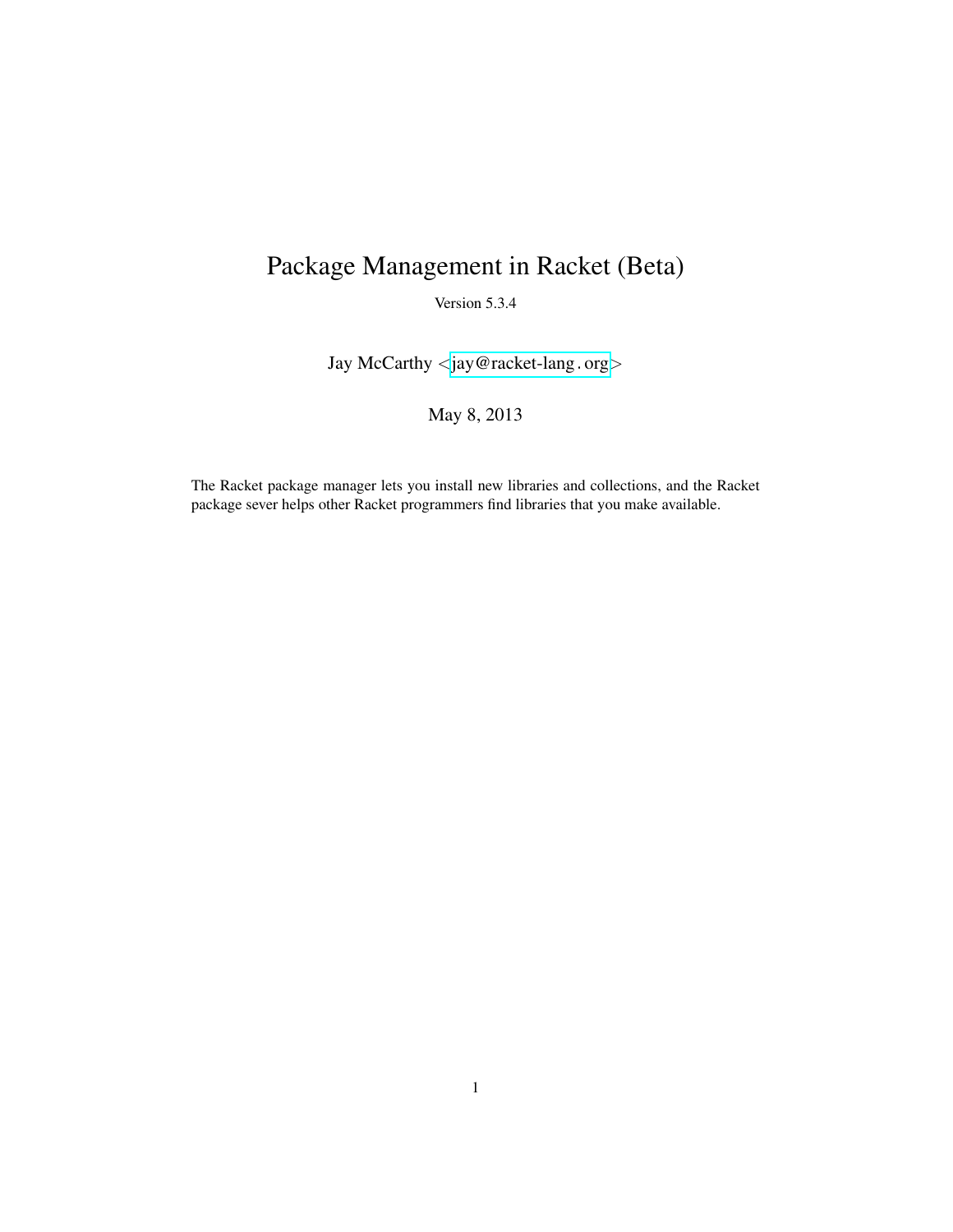# Package Management in Racket (Beta)

Version 5.3.4

Jay McCarthy <[jay@racket-lang](mailto:jay@racket-lang.org).org>

May 8, 2013

The Racket package manager lets you install new libraries and collections, and the Racket package sever helps other Racket programmers find libraries that you make available.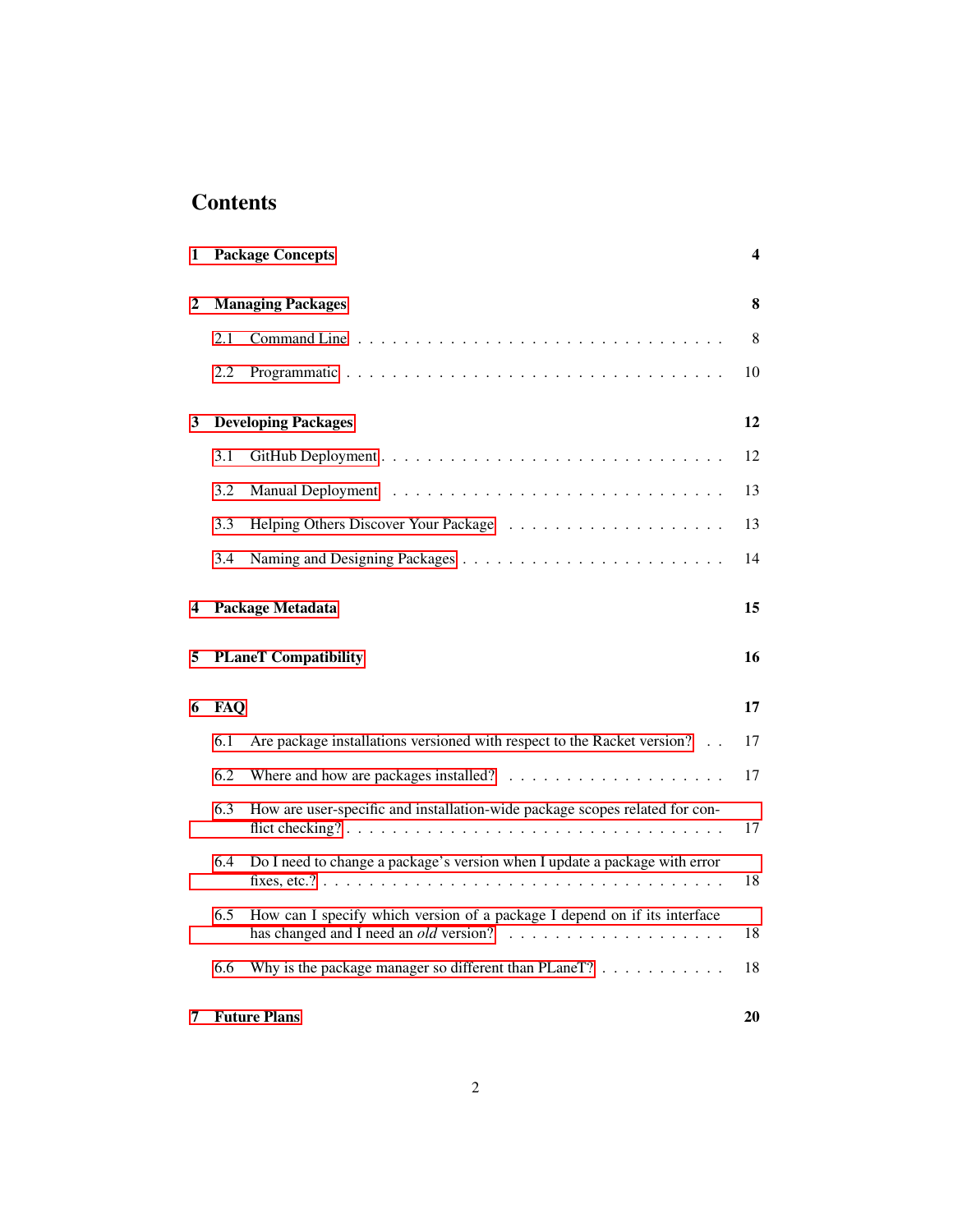## **Contents**

| 1 |            | <b>Package Concepts</b>                                                     | 4  |  |  |  |  |  |  |  |  |  |  |
|---|------------|-----------------------------------------------------------------------------|----|--|--|--|--|--|--|--|--|--|--|
| 2 |            | <b>Managing Packages</b>                                                    | 8  |  |  |  |  |  |  |  |  |  |  |
|   | 2.1        |                                                                             | 8  |  |  |  |  |  |  |  |  |  |  |
|   | 2.2        |                                                                             | 10 |  |  |  |  |  |  |  |  |  |  |
| 3 |            | <b>Developing Packages</b>                                                  | 12 |  |  |  |  |  |  |  |  |  |  |
|   | 3.1        |                                                                             | 12 |  |  |  |  |  |  |  |  |  |  |
|   | 3.2        |                                                                             | 13 |  |  |  |  |  |  |  |  |  |  |
|   | 3.3        |                                                                             | 13 |  |  |  |  |  |  |  |  |  |  |
|   | 3.4        |                                                                             | 14 |  |  |  |  |  |  |  |  |  |  |
| 4 |            | Package Metadata                                                            |    |  |  |  |  |  |  |  |  |  |  |
| 5 |            | <b>PLaneT</b> Compatibility                                                 |    |  |  |  |  |  |  |  |  |  |  |
| 6 | <b>FAQ</b> |                                                                             | 17 |  |  |  |  |  |  |  |  |  |  |
|   | 6.1        | Are package installations versioned with respect to the Racket version?     | 17 |  |  |  |  |  |  |  |  |  |  |
|   | 6.2        |                                                                             | 17 |  |  |  |  |  |  |  |  |  |  |
|   | 6.3        | How are user-specific and installation-wide package scopes related for con- | 17 |  |  |  |  |  |  |  |  |  |  |
|   | 6.4        | Do I need to change a package's version when I update a package with error  | 18 |  |  |  |  |  |  |  |  |  |  |
|   | 6.5        | How can I specify which version of a package I depend on if its interface   | 18 |  |  |  |  |  |  |  |  |  |  |
|   | 6.6        | Why is the package manager so different than PLaneT? $\dots \dots \dots$    | 18 |  |  |  |  |  |  |  |  |  |  |
| 7 |            | <b>Future Plans</b>                                                         | 20 |  |  |  |  |  |  |  |  |  |  |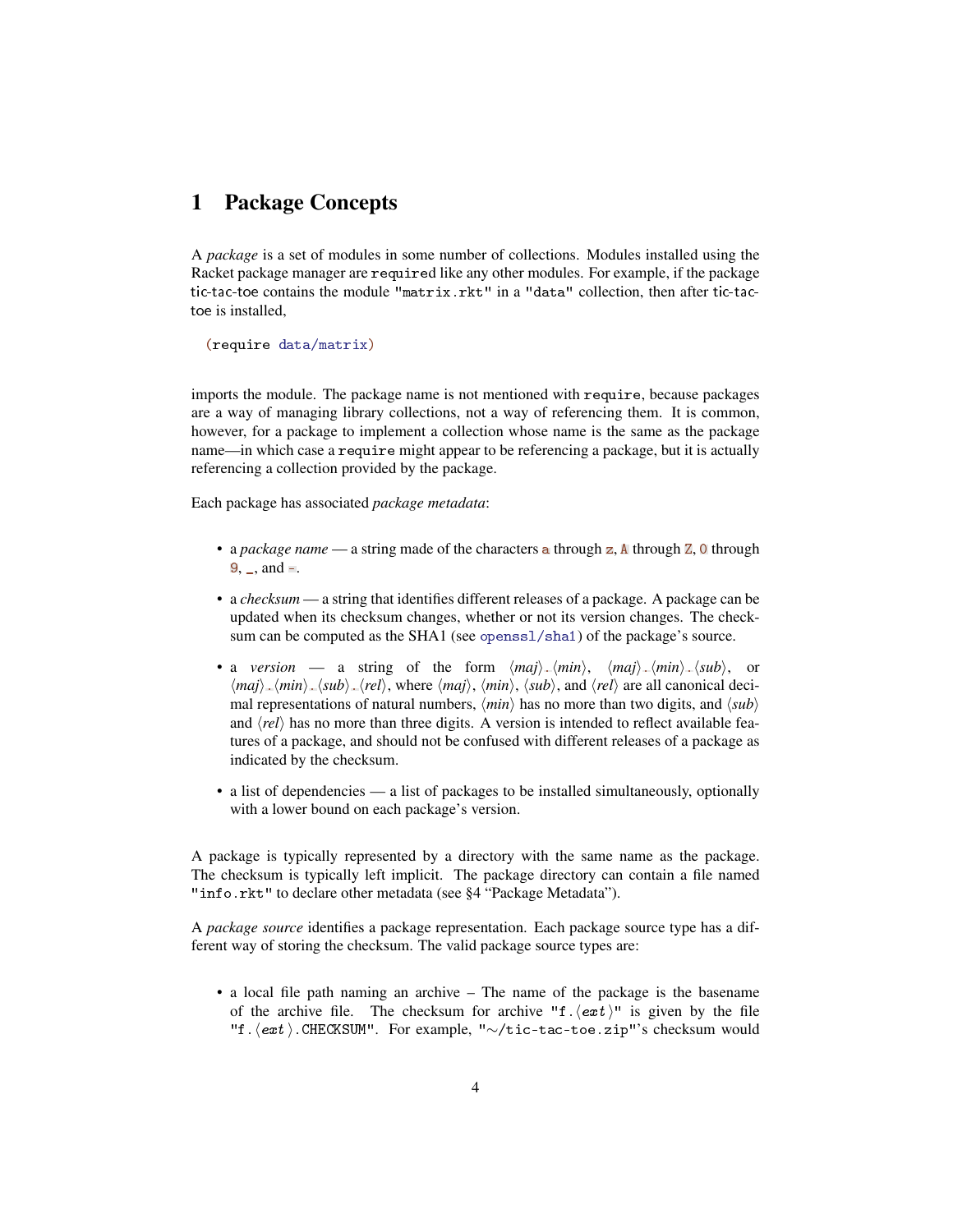### <span id="page-3-0"></span>1 Package Concepts

A *package* is a set of modules in some number of collections. Modules installed using the Racket package manager are required like any other modules. For example, if the package tic-tac-toe contains the module "matrix.rkt" in a "data" collection, then after tic-tactoe is installed,

(require data/matrix)

imports the module. The package name is not mentioned with require, because packages are a way of managing library collections, not a way of referencing them. It is common, however, for a package to implement a collection whose name is the same as the package name—in which case a require might appear to be referencing a package, but it is actually referencing a collection provided by the package.

Each package has associated *package metadata*:

- a *package name* a string made of the characters a through z, A through Z, 0 through  $9, \ldots$  and  $=$ .
- a *checksum* a string that identifies different releases of a package. A package can be updated when its checksum changes, whether or not its version changes. The checksum can be computed as the SHA1 (see openssl/sha1) of the package's source.
- a *version* a string of the form  $\langle maj \rangle$ .  $\langle min \rangle$ ,  $\langle min \rangle$ .  $\langle sub \rangle$ , or  $\langle \textit{maj}\rangle$ .  $\langle \textit{sub}\rangle$ .  $\langle \textit{sub}\rangle$ .  $\langle \textit{rel}\rangle$ , where  $\langle \textit{maj}\rangle$ ,  $\langle \textit{min}\rangle$ ,  $\langle \textit{sub}\rangle$ , and  $\langle \textit{rel}\rangle$  are all canonical decimal representations of natural numbers,  $\langle min \rangle$  has no more than two digits, and  $\langle sub \rangle$ and  $\langle rel \rangle$  has no more than three digits. A version is intended to reflect available features of a package, and should not be confused with different releases of a package as indicated by the checksum.
- a list of dependencies a list of packages to be installed simultaneously, optionally with a lower bound on each package's version.

A package is typically represented by a directory with the same name as the package. The checksum is typically left implicit. The package directory can contain a file named "info.rkt" to declare other metadata (see §4 "Package Metadata").

A *package source* identifies a package representation. Each package source type has a different way of storing the checksum. The valid package source types are:

• a local file path naming an archive – The name of the package is the basename of the archive file. The checksum for archive "f. $\langle ext \rangle$ " is given by the file "f.(ext).CHECKSUM". For example, "∼/tic-tac-toe.zip"'s checksum would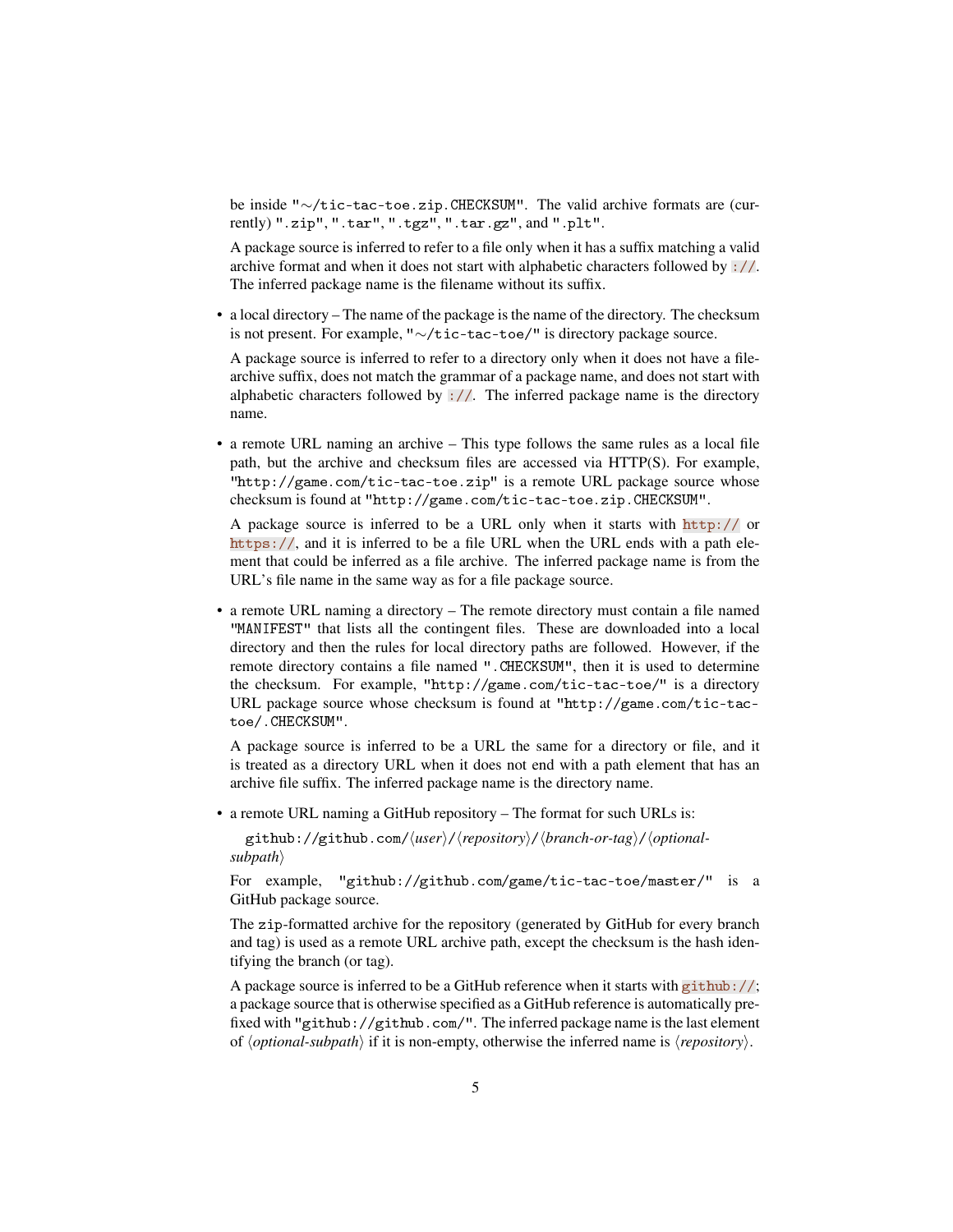be inside "∼/tic-tac-toe.zip.CHECKSUM". The valid archive formats are (currently) ".zip", ".tar", ".tgz", ".tar.gz", and ".plt".

A package source is inferred to refer to a file only when it has a suffix matching a valid archive format and when it does not start with alphabetic characters followed by ://. The inferred package name is the filename without its suffix.

• a local directory – The name of the package is the name of the directory. The checksum is not present. For example, "∼/tic-tac-toe/" is directory package source.

A package source is inferred to refer to a directory only when it does not have a filearchive suffix, does not match the grammar of a package name, and does not start with alphabetic characters followed by  $\frac{1}{2}$ . The inferred package name is the directory name.

• a remote URL naming an archive – This type follows the same rules as a local file path, but the archive and checksum files are accessed via HTTP(S). For example, "http://game.com/tic-tac-toe.zip" is a remote URL package source whose checksum is found at "http://game.com/tic-tac-toe.zip.CHECKSUM".

A package source is inferred to be a URL only when it starts with http:// or https://, and it is inferred to be a file URL when the URL ends with a path element that could be inferred as a file archive. The inferred package name is from the URL's file name in the same way as for a file package source.

• a remote URL naming a directory – The remote directory must contain a file named "MANIFEST" that lists all the contingent files. These are downloaded into a local directory and then the rules for local directory paths are followed. However, if the remote directory contains a file named ".CHECKSUM", then it is used to determine the checksum. For example, "http://game.com/tic-tac-toe/" is a directory URL package source whose checksum is found at "http://game.com/tic-tactoe/.CHECKSUM".

A package source is inferred to be a URL the same for a directory or file, and it is treated as a directory URL when it does not end with a path element that has an archive file suffix. The inferred package name is the directory name.

• a remote URL naming a GitHub repository – The format for such URLs is:

github://github.com/ $\langle user \rangle$ / $\langle repository \rangle$ / $\langle branch-or-tag \rangle$ / $\langle optional-Pb$ *subpath* 

For example, "github://github.com/game/tic-tac-toe/master/" is a GitHub package source.

The zip-formatted archive for the repository (generated by GitHub for every branch and tag) is used as a remote URL archive path, except the checksum is the hash identifying the branch (or tag).

A package source is inferred to be a GitHub reference when it starts with github://; a package source that is otherwise specified as a GitHub reference is automatically prefixed with "github://github.com/". The inferred package name is the last element of  $\langle$ *optional-subpath* $\rangle$  if it is non-empty, otherwise the inferred name is  $\langle$ *repository* $\rangle$ .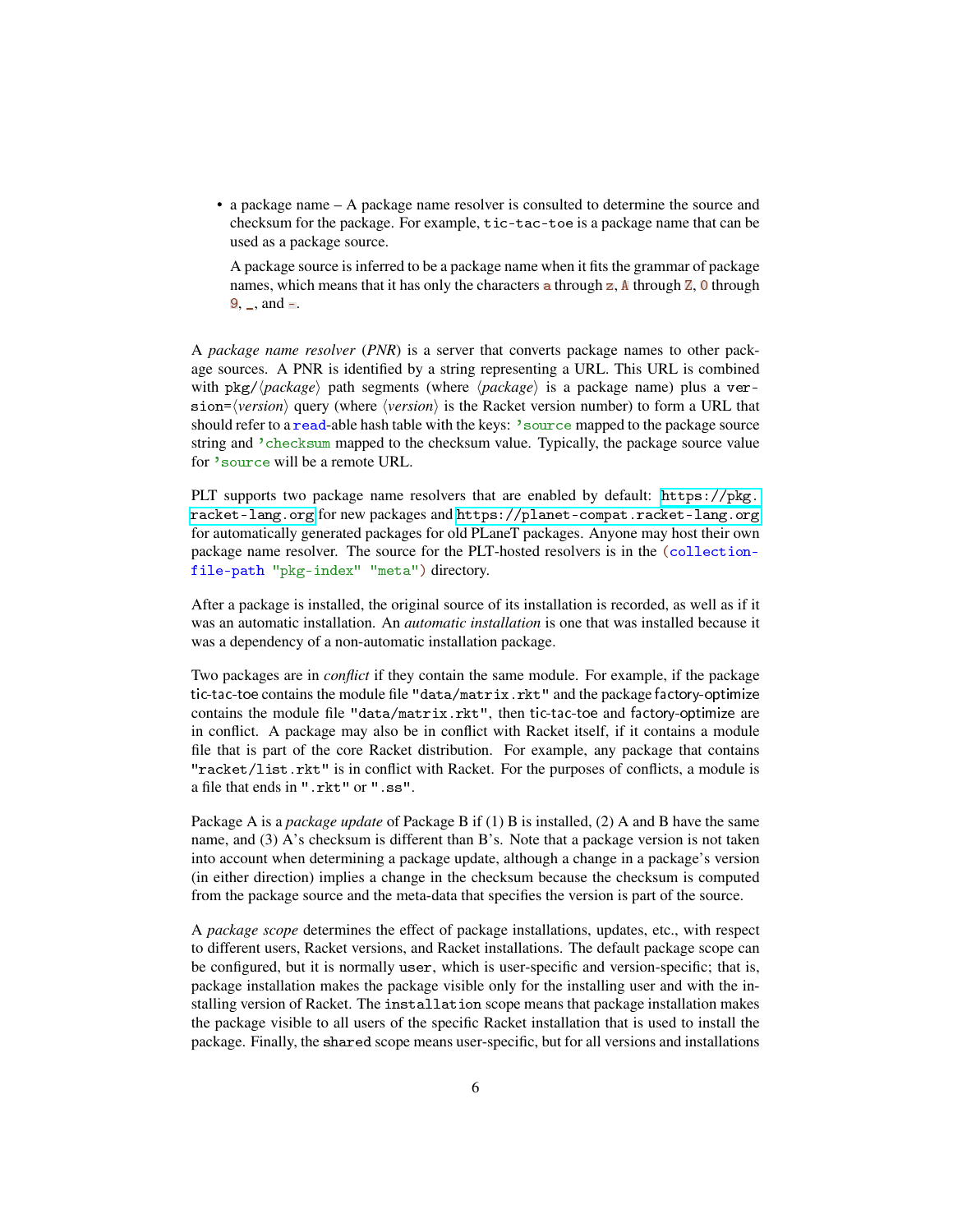• a package name – A package name resolver is consulted to determine the source and checksum for the package. For example, tic-tac-toe is a package name that can be used as a package source.

A package source is inferred to be a package name when it fits the grammar of package names, which means that it has only the characters a through  $z$ ,  $\Delta$  through  $\overline{z}$ ,  $\overline{0}$  through  $9, \_$ , and  $=$ .

A *package name resolver* (*PNR*) is a server that converts package names to other package sources. A PNR is identified by a string representing a URL. This URL is combined with  $pkg//package$  path segments (where  $\langle package \rangle$  is a package name) plus a ver $sion = \langle version \rangle$  query (where  $\langle version \rangle$  is the Racket version number) to form a URL that should refer to a read-able hash table with the keys: 'source mapped to the package source string and 'checksum mapped to the checksum value. Typically, the package source value for 'source will be a remote URL.

PLT supports two package name resolvers that are enabled by default: [https://pkg.](https://pkg.racket-lang.org) [racket-lang.org](https://pkg.racket-lang.org) for new packages and <https://planet-compat.racket-lang.org> for automatically generated packages for old PLaneT packages. Anyone may host their own package name resolver. The source for the PLT-hosted resolvers is in the (collectionfile-path "pkg-index" "meta") directory.

After a package is installed, the original source of its installation is recorded, as well as if it was an automatic installation. An *automatic installation* is one that was installed because it was a dependency of a non-automatic installation package.

Two packages are in *conflict* if they contain the same module. For example, if the package tic-tac-toe contains the module file "data/matrix.rkt" and the package factory-optimize contains the module file "data/matrix.rkt", then tic-tac-toe and factory-optimize are in conflict. A package may also be in conflict with Racket itself, if it contains a module file that is part of the core Racket distribution. For example, any package that contains "racket/list.rkt" is in conflict with Racket. For the purposes of conflicts, a module is a file that ends in ".rkt" or ".ss".

Package A is a *package update* of Package B if (1) B is installed, (2) A and B have the same name, and (3) A's checksum is different than B's. Note that a package version is not taken into account when determining a package update, although a change in a package's version (in either direction) implies a change in the checksum because the checksum is computed from the package source and the meta-data that specifies the version is part of the source.

A *package scope* determines the effect of package installations, updates, etc., with respect to different users, Racket versions, and Racket installations. The default package scope can be configured, but it is normally user, which is user-specific and version-specific; that is, package installation makes the package visible only for the installing user and with the installing version of Racket. The installation scope means that package installation makes the package visible to all users of the specific Racket installation that is used to install the package. Finally, the shared scope means user-specific, but for all versions and installations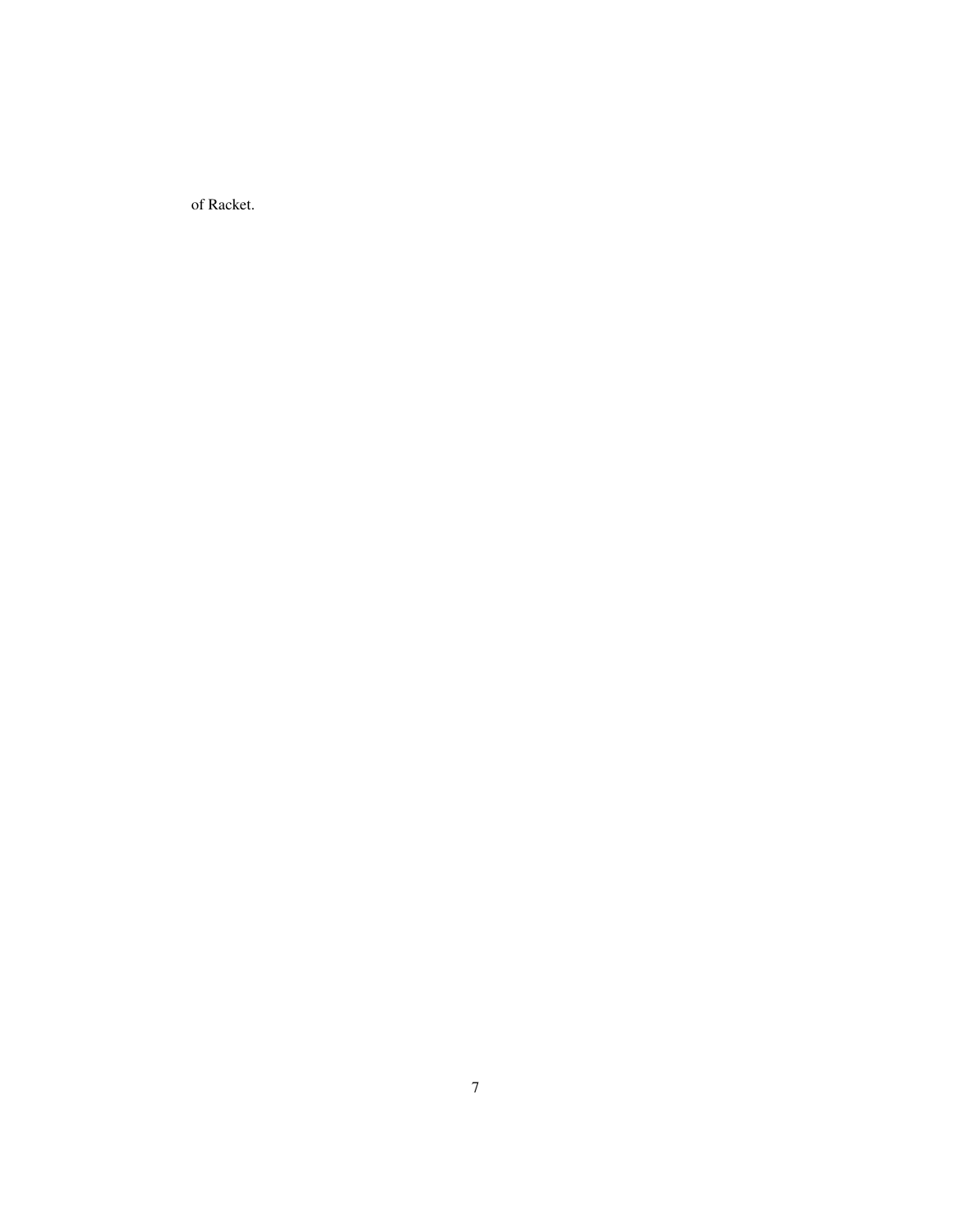of Racket.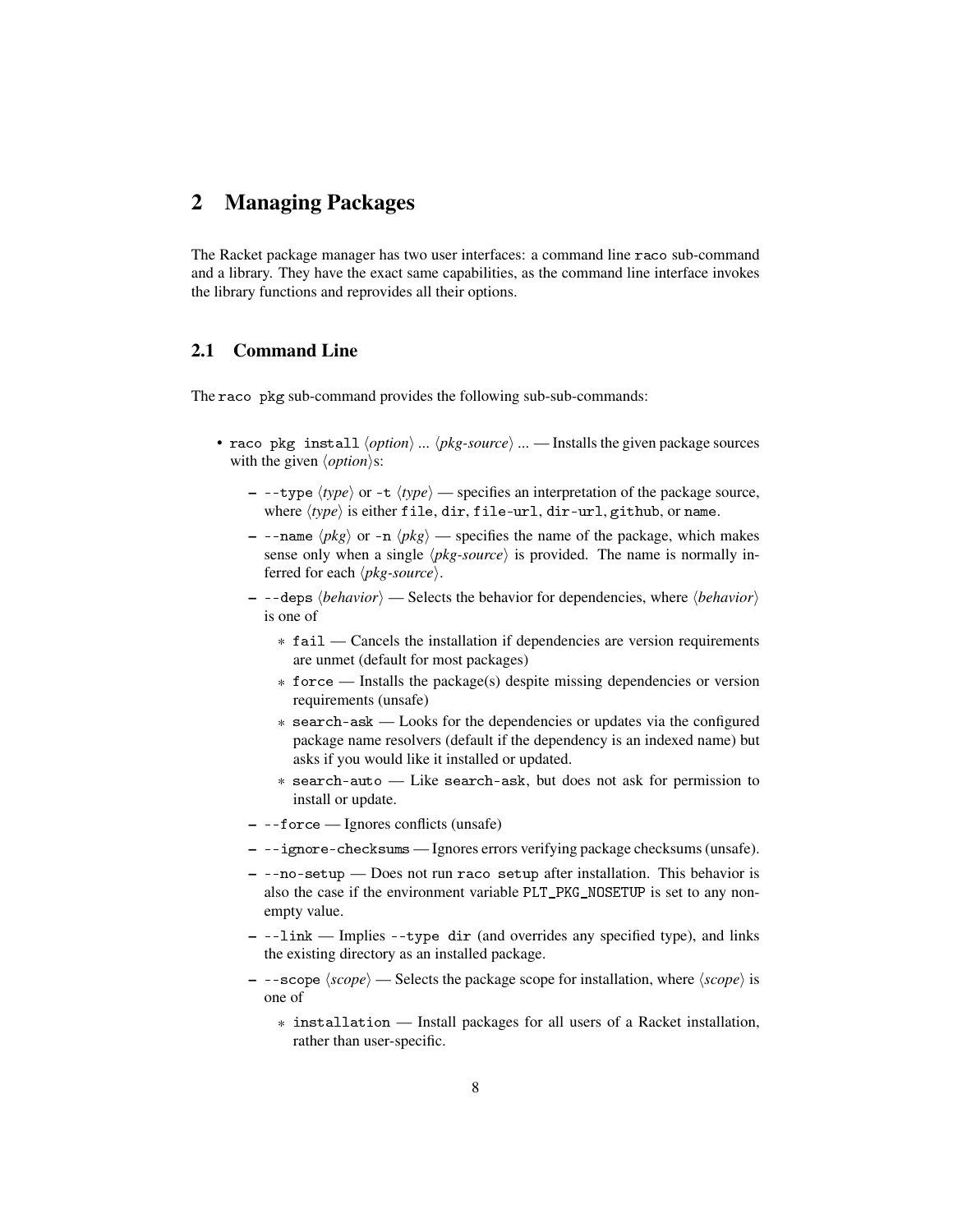### <span id="page-7-0"></span>2 Managing Packages

The Racket package manager has two user interfaces: a command line raco sub-command and a library. They have the exact same capabilities, as the command line interface invokes the library functions and reprovides all their options.

### <span id="page-7-1"></span>2.1 Command Line

The raco pkg sub-command provides the following sub-sub-commands:

- raco pkg install  $\langle option \rangle$  ...  $\langle pkg-source \rangle$  ... Installs the given package sources with the given  $\langle option \rangle$ s:
	- $-$  --type  $\langle type \rangle$  or -t  $\langle type \rangle$  specifies an interpretation of the package source, where  $\langle type \rangle$  is either file, dir, file-url, dir-url, github, or name.
	- $-$  --name  $\langle pkg \rangle$  or -n  $\langle pkg \rangle$  specifies the name of the package, which makes sense only when a single  $\langle pkg-source \rangle$  is provided. The name is normally inferred for each  $\langle pkg-source \rangle$ .
	- $-$  --deps  $\langle behavior \rangle$  Selects the behavior for dependencies, where  $\langle behavior \rangle$ is one of
		- \* fail Cancels the installation if dependencies are version requirements are unmet (default for most packages)
		- \* force Installs the package(s) despite missing dependencies or version requirements (unsafe)
		- \* search-ask Looks for the dependencies or updates via the configured package name resolvers (default if the dependency is an indexed name) but asks if you would like it installed or updated.
		- \* search-auto Like search-ask, but does not ask for permission to install or update.
	- --force Ignores conflicts (unsafe)
	- --ignore-checksums Ignores errors verifying package checksums (unsafe).
	- --no-setup Does not run raco setup after installation. This behavior is also the case if the environment variable PLT\_PKG\_NOSETUP is set to any nonempty value.
	- --link Implies --type dir (and overrides any specified type), and links the existing directory as an installed package.
	- $-$  --scope  $\langle scope \rangle$  Selects the package scope for installation, where  $\langle scope \rangle$  is one of
		- \* installation Install packages for all users of a Racket installation, rather than user-specific.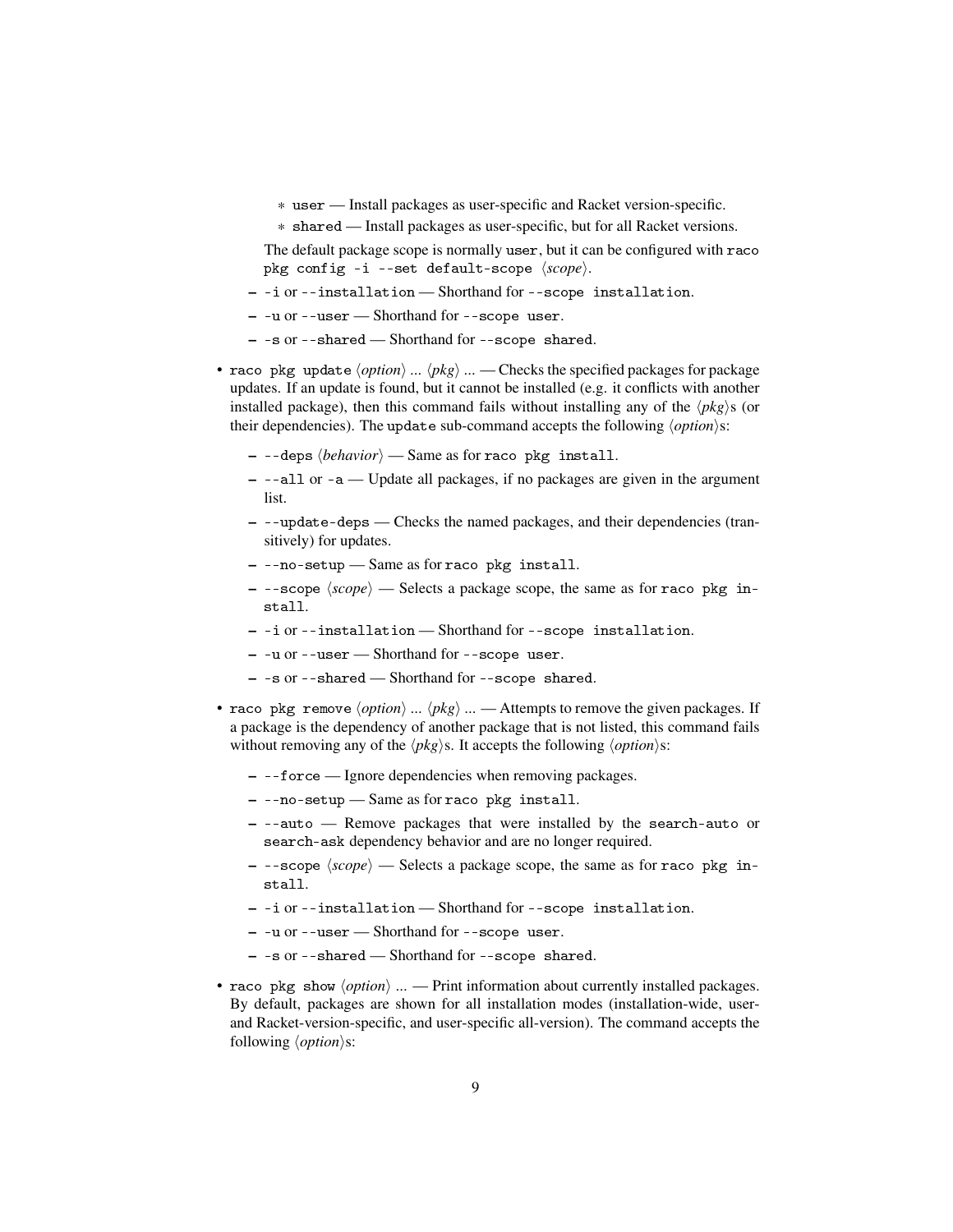- \* user Install packages as user-specific and Racket version-specific.
- \* shared Install packages as user-specific, but for all Racket versions.

The default package scope is normally user, but it can be configured with raco pkg config -i --set default-scope  $\langle scope \rangle$ .

- -i or --installation Shorthand for --scope installation.
- -u or --user Shorthand for --scope user.
- -s or --shared Shorthand for --scope shared.
- raco pkg update  $\langle option \rangle$  ...  $\langle pkg \rangle$  ... Checks the specified packages for package updates. If an update is found, but it cannot be installed (e.g. it conflicts with another installed package), then this command fails without installing any of the  $\langle pkg \rangle$ s (or their dependencies). The update sub-command accepts the following  $\langle option \rangle$ s:
	- $-$  --deps  $\langle behavior \rangle$  Same as for raco pkg install.
	- --all or -a Update all packages, if no packages are given in the argument list.
	- --update-deps Checks the named packages, and their dependencies (transitively) for updates.
	- --no-setup Same as for raco pkg install.
	- $-$  --scope  $\langle scope \rangle$  Selects a package scope, the same as for raco pkg install.
	- -i or --installation Shorthand for --scope installation.
	- -u or --user Shorthand for --scope user.
	- -s or --shared Shorthand for --scope shared.
- raco pkg remove  $\langle option \rangle$  ...  $\langle pkg \rangle$  ... Attempts to remove the given packages. If a package is the dependency of another package that is not listed, this command fails without removing any of the  $\langle pkg \rangle$ s. It accepts the following  $\langle option \rangle$ s:
	- --force Ignore dependencies when removing packages.
	- --no-setup Same as for raco pkg install.
	- --auto Remove packages that were installed by the search-auto or search-ask dependency behavior and are no longer required.
	- $-$  --scope  $\langle scope \rangle$  Selects a package scope, the same as for raco pkg install.
	- -i or --installation Shorthand for --scope installation.
	- -u or --user Shorthand for --scope user.
	- -s or --shared Shorthand for --scope shared.
- raco pkg show  $\langle option \rangle$  ... Print information about currently installed packages. By default, packages are shown for all installation modes (installation-wide, userand Racket-version-specific, and user-specific all-version). The command accepts the following  $\langle option \rangle$ s: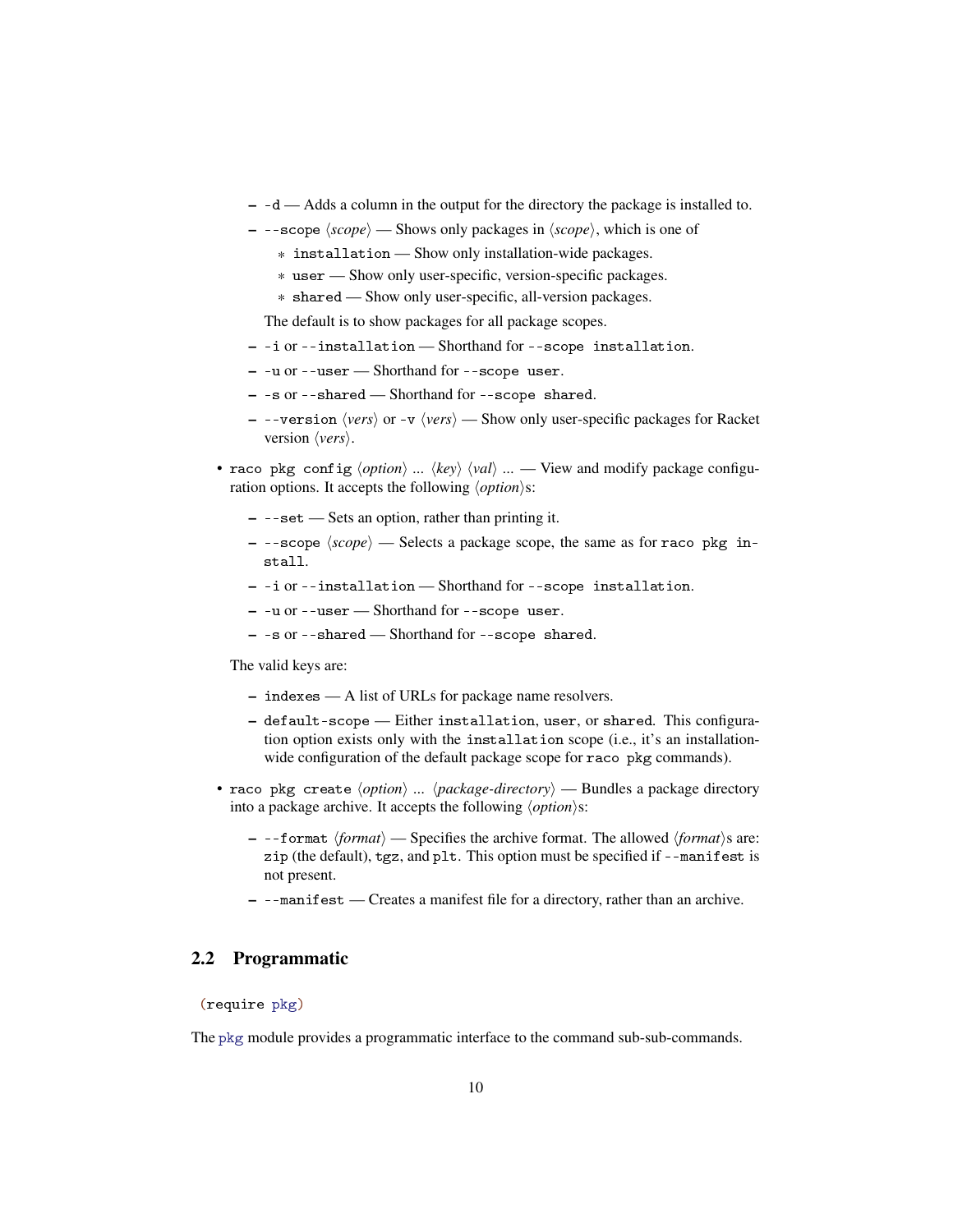- -d Adds a column in the output for the directory the package is installed to.
- $-$  --scope  $\langle scope \rangle$  Shows only packages in  $\langle scope \rangle$ , which is one of
	- \* installation Show only installation-wide packages.
	- \* user Show only user-specific, version-specific packages.
	- \* shared Show only user-specific, all-version packages.

The default is to show packages for all package scopes.

- -i or --installation Shorthand for --scope installation.
- -u or --user Shorthand for --scope user.
- -s or --shared Shorthand for --scope shared.
- --version  $\langle vers \rangle$  or -v  $\langle vers \rangle$  Show only user-specific packages for Racket version  $\langle vers \rangle$ .
- raco pkg config  $\langle option \rangle$  ...  $\langle key \rangle$   $\langle val \rangle$  ... View and modify package configuration options. It accepts the following  $\langle option \rangle$ s:
	- --set Sets an option, rather than printing it.
	- $-$  --scope  $\langle scope \rangle$  Selects a package scope, the same as for raco pkg install.
	- -i or --installation Shorthand for --scope installation.
	- -u or --user Shorthand for --scope user.
	- -s or --shared Shorthand for --scope shared.

The valid keys are:

- indexes A list of URLs for package name resolvers.
- default-scope Either installation, user, or shared. This configuration option exists only with the installation scope (i.e., it's an installationwide configuration of the default package scope for raco pkg commands).
- raco pkg create  $\langle option \rangle$  ...  $\langle package\{-directory \rangle$  Bundles a package directory into a package archive. It accepts the following  $\langle option \rangle$ s:
	- $-$  --format  $\langle format \rangle$  Specifies the archive format. The allowed  $\langle format \rangle$ s are: zip (the default), tgz, and plt. This option must be specified if --manifest is not present.
	- --manifest Creates a manifest file for a directory, rather than an archive.

### <span id="page-9-0"></span>2.2 Programmatic

(require pkg)

The pkg module provides a programmatic interface to the command sub-sub-commands.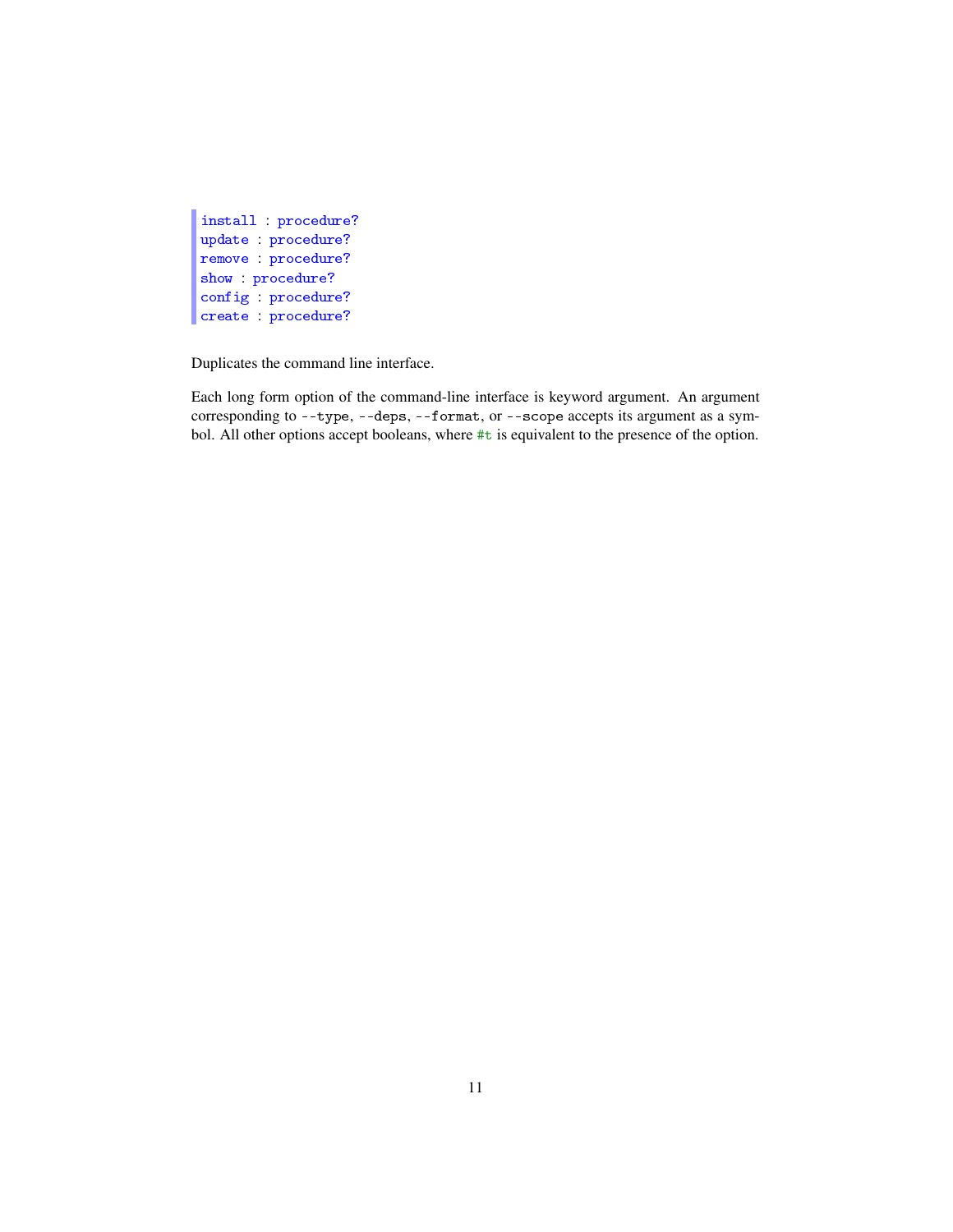```
install : procedure?
update : procedure?
remove : procedure?
show : procedure?
config : procedure?
create : procedure?
```
Duplicates the command line interface.

Each long form option of the command-line interface is keyword argument. An argument corresponding to --type, --deps, --format, or --scope accepts its argument as a symbol. All other options accept booleans, where #t is equivalent to the presence of the option.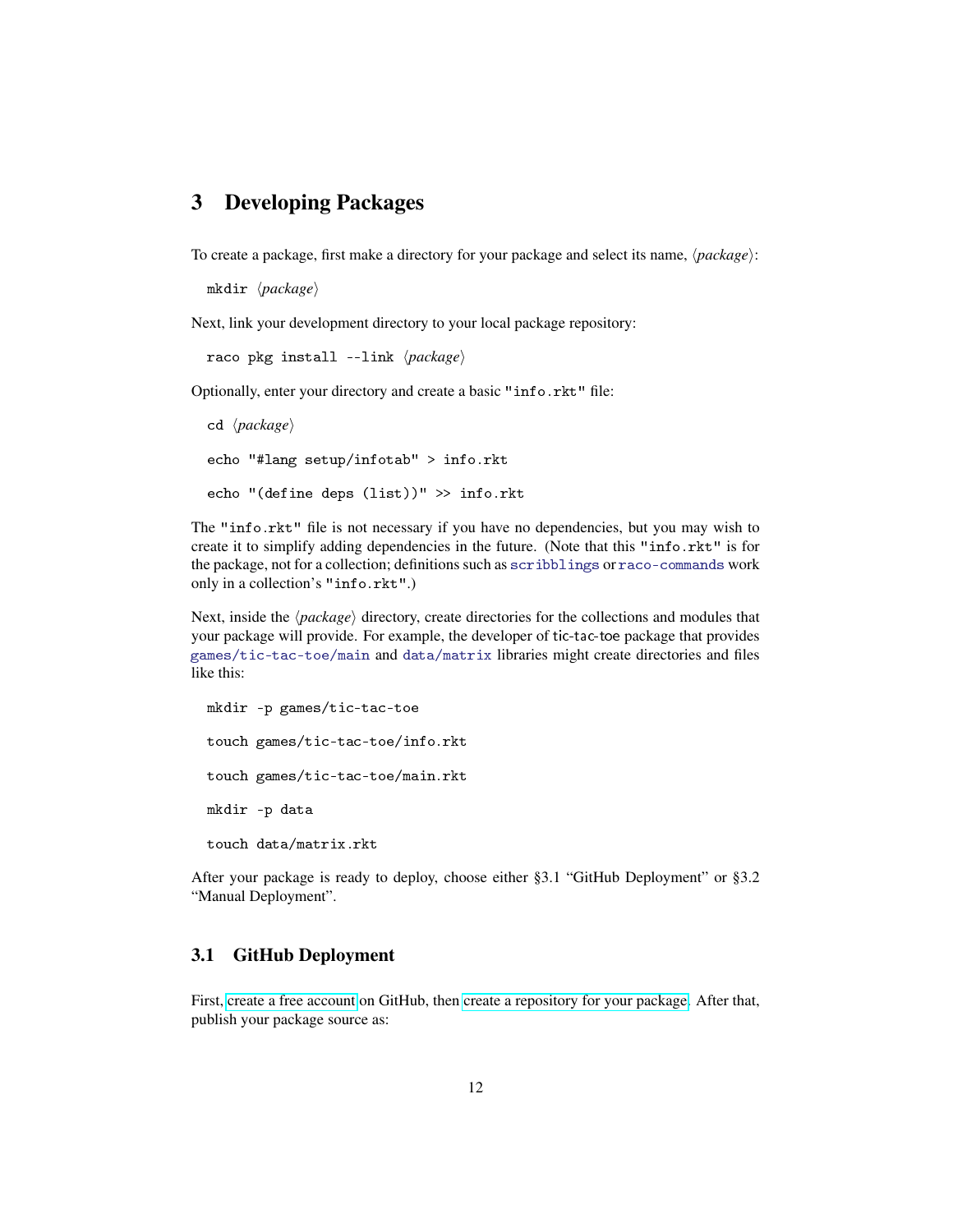### <span id="page-11-0"></span>3 Developing Packages

To create a package, first make a directory for your package and select its name,  $\langle package \rangle$ :

```
mkdir (package)
```
Next, link your development directory to your local package repository:

```
raco pkg install --link \langle package \rangle
```
Optionally, enter your directory and create a basic "info.rkt" file:

```
cd \langle package \rangleecho "#lang setup/infotab" > info.rkt
echo "(define deps (list))" >> info.rkt
```
The "info.rkt" file is not necessary if you have no dependencies, but you may wish to create it to simplify adding dependencies in the future. (Note that this "info.rkt" is for the package, not for a collection; definitions such as scribblings or raco-commands work only in a collection's "info.rkt".)

Next, inside the  $\langle package \rangle$  directory, create directories for the collections and modules that your package will provide. For example, the developer of tic-tac-toe package that provides games/tic-tac-toe/main and data/matrix libraries might create directories and files like this:

```
mkdir -p games/tic-tac-toe
touch games/tic-tac-toe/info.rkt
touch games/tic-tac-toe/main.rkt
mkdir -p data
touch data/matrix.rkt
```
After your package is ready to deploy, choose either §3.1 "GitHub Deployment" or §3.2 "Manual Deployment".

#### <span id="page-11-1"></span>3.1 GitHub Deployment

First, [create a free account](https://github.com/signup/free) on GitHub, then [create a repository for your package.](https://help.github.com/articles/create-a-repo) After that, publish your package source as: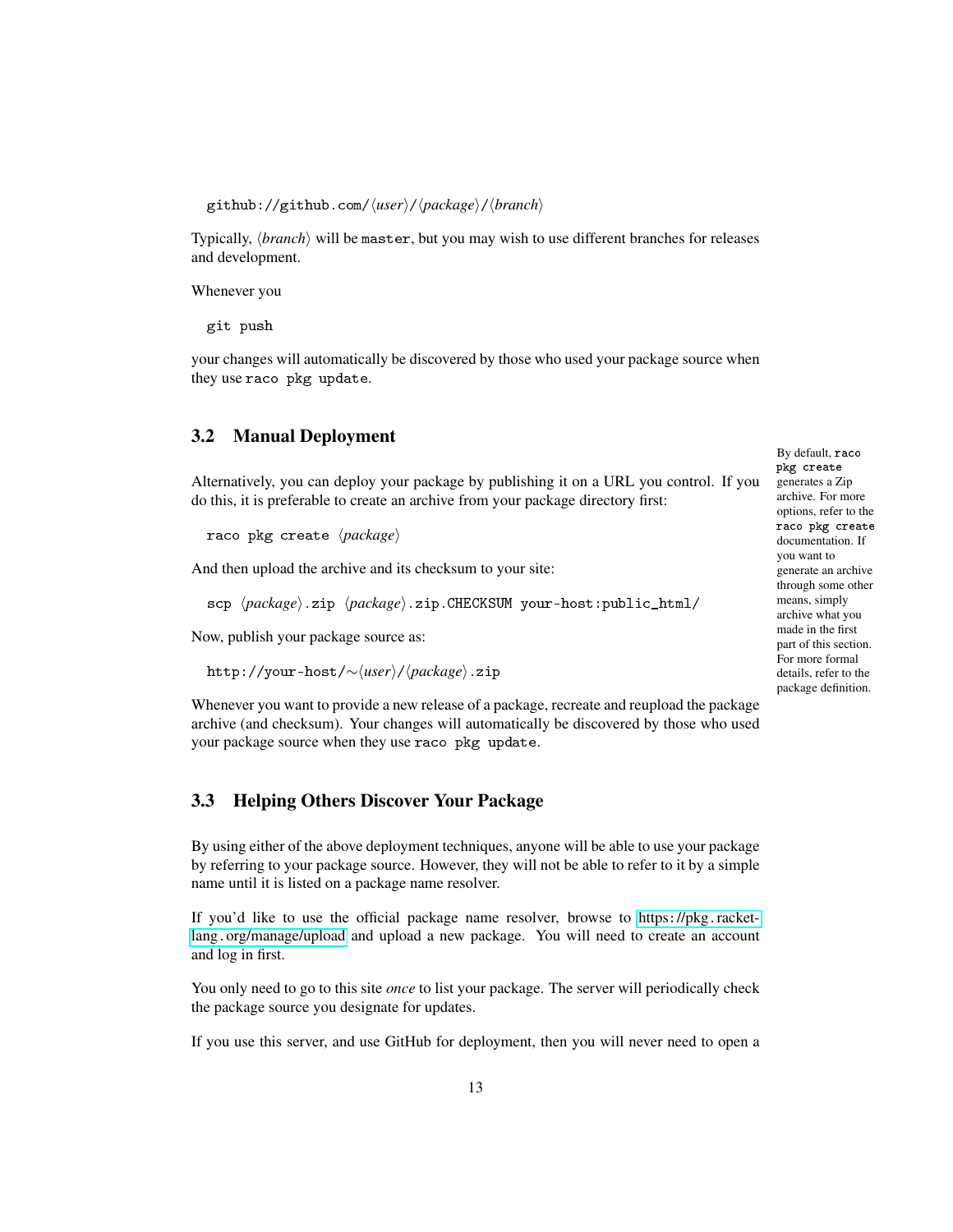github://github.com/h*user*i/h*package*i/h*branch*i

Typically, *(branch)* will be master, but you may wish to use different branches for releases and development.

Whenever you

git push

your changes will automatically be discovered by those who used your package source when they use raco pkg update.

### <span id="page-12-0"></span>3.2 Manual Deployment

Alternatively, you can deploy your package by publishing it on a URL you control. If you do this, it is preferable to create an archive from your package directory first:

raco pkg create  $\langle package \rangle$ 

And then upload the archive and its checksum to your site:

scp  $\langle package \rangle$ .zip  $\langle package \rangle$ .zip.CHECKSUM your-host:public\_html/

Now, publish your package source as:

http://your-host/∼ $\langle user \rangle$ /*\package*}.zip

Whenever you want to provide a new release of a package, recreate and reupload the package archive (and checksum). Your changes will automatically be discovered by those who used your package source when they use raco pkg update.

#### <span id="page-12-1"></span>3.3 Helping Others Discover Your Package

By using either of the above deployment techniques, anyone will be able to use your package by referring to your package source. However, they will not be able to refer to it by a simple name until it is listed on a package name resolver.

If you'd like to use the official package name resolver, browse to https://pkg.[racket](https://pkg.racket-lang.org/manage/upload)lang.[org/manage/upload](https://pkg.racket-lang.org/manage/upload) and upload a new package. You will need to create an account and log in first.

You only need to go to this site *once* to list your package. The server will periodically check the package source you designate for updates.

If you use this server, and use GitHub for deployment, then you will never need to open a

By default, raco pkg create generates a Zip archive. For more options, refer to the raco pkg create documentation. If you want to generate an archive through some other means, simply archive what you made in the first part of this section. For more formal details, refer to the package definition.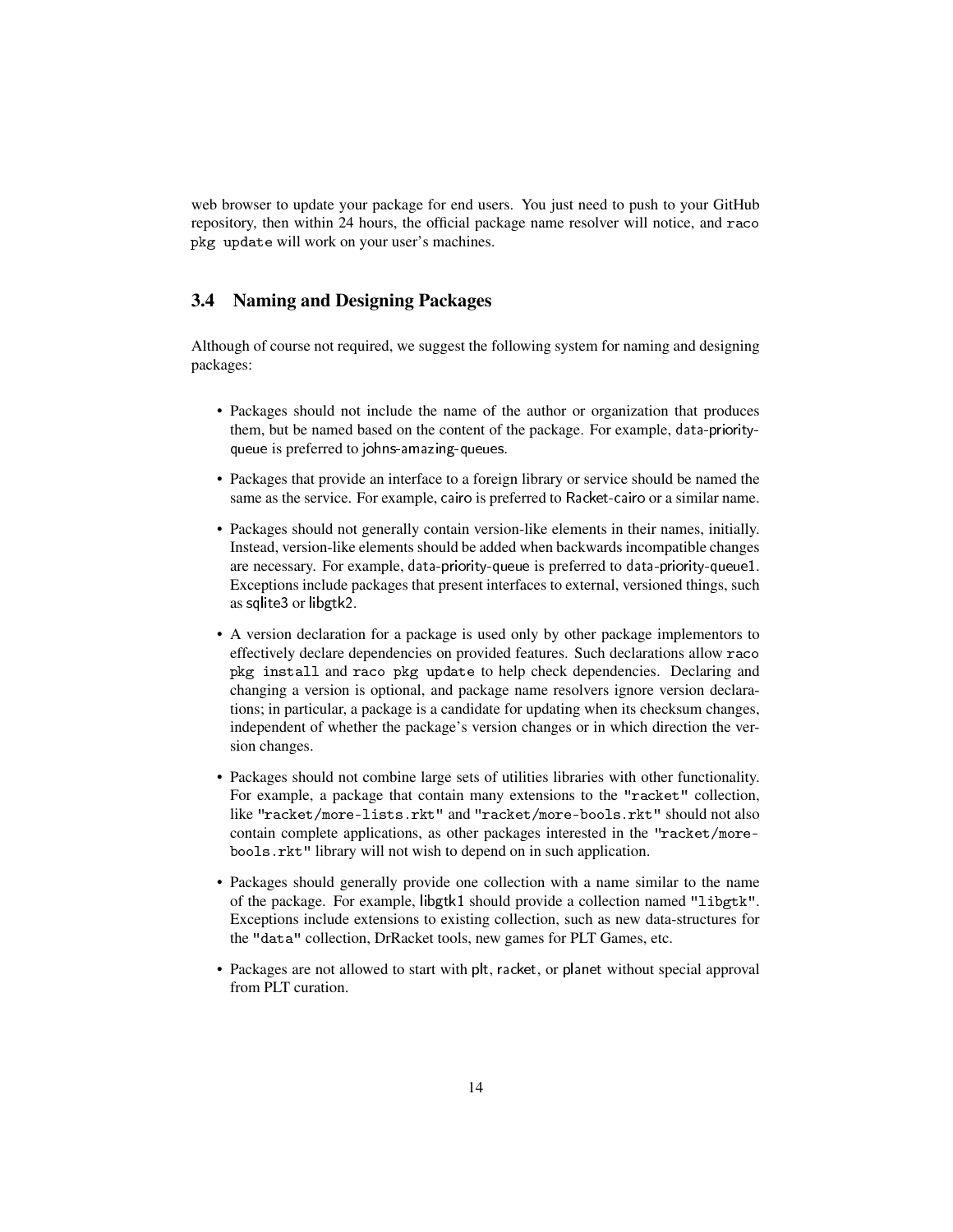web browser to update your package for end users. You just need to push to your GitHub repository, then within 24 hours, the official package name resolver will notice, and raco pkg update will work on your user's machines.

#### <span id="page-13-0"></span>3.4 Naming and Designing Packages

Although of course not required, we suggest the following system for naming and designing packages:

- Packages should not include the name of the author or organization that produces them, but be named based on the content of the package. For example, data-priorityqueue is preferred to johns-amazing-queues.
- Packages that provide an interface to a foreign library or service should be named the same as the service. For example, cairo is preferred to Racket-cairo or a similar name.
- Packages should not generally contain version-like elements in their names, initially. Instead, version-like elements should be added when backwards incompatible changes are necessary. For example, data-priority-queue is preferred to data-priority-queue1. Exceptions include packages that present interfaces to external, versioned things, such as sqlite3 or libgtk2.
- A version declaration for a package is used only by other package implementors to effectively declare dependencies on provided features. Such declarations allow raco pkg install and raco pkg update to help check dependencies. Declaring and changing a version is optional, and package name resolvers ignore version declarations; in particular, a package is a candidate for updating when its checksum changes, independent of whether the package's version changes or in which direction the version changes.
- Packages should not combine large sets of utilities libraries with other functionality. For example, a package that contain many extensions to the "racket" collection, like "racket/more-lists.rkt" and "racket/more-bools.rkt" should not also contain complete applications, as other packages interested in the "racket/morebools.rkt" library will not wish to depend on in such application.
- Packages should generally provide one collection with a name similar to the name of the package. For example, libgtk1 should provide a collection named "libgtk". Exceptions include extensions to existing collection, such as new data-structures for the "data" collection, DrRacket tools, new games for PLT Games, etc.
- Packages are not allowed to start with plt, racket, or planet without special approval from PLT curation.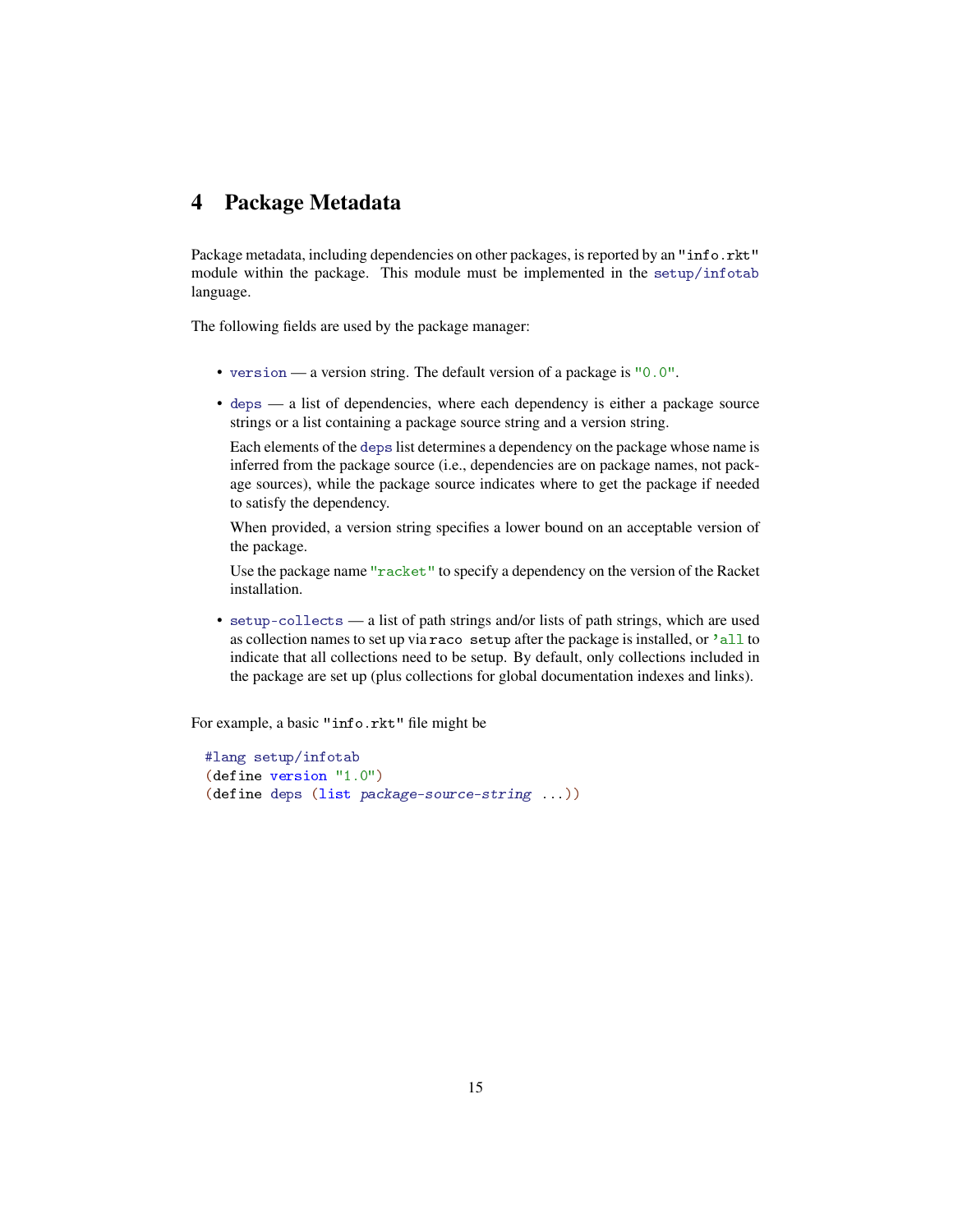### <span id="page-14-0"></span>4 Package Metadata

Package metadata, including dependencies on other packages, is reported by an "info.rkt" module within the package. This module must be implemented in the setup/infotab language.

The following fields are used by the package manager:

- version a version string. The default version of a package is "0.0".
- deps a list of dependencies, where each dependency is either a package source strings or a list containing a package source string and a version string.

Each elements of the deps list determines a dependency on the package whose name is inferred from the package source (i.e., dependencies are on package names, not package sources), while the package source indicates where to get the package if needed to satisfy the dependency.

When provided, a version string specifies a lower bound on an acceptable version of the package.

Use the package name "racket" to specify a dependency on the version of the Racket installation.

• setup-collects — a list of path strings and/or lists of path strings, which are used as collection names to set up via raco setup after the package is installed, or 'all to indicate that all collections need to be setup. By default, only collections included in the package are set up (plus collections for global documentation indexes and links).

For example, a basic "info.rkt" file might be

```
#lang setup/infotab
(define version "1.0")
(define deps (list package-source-string ...))
```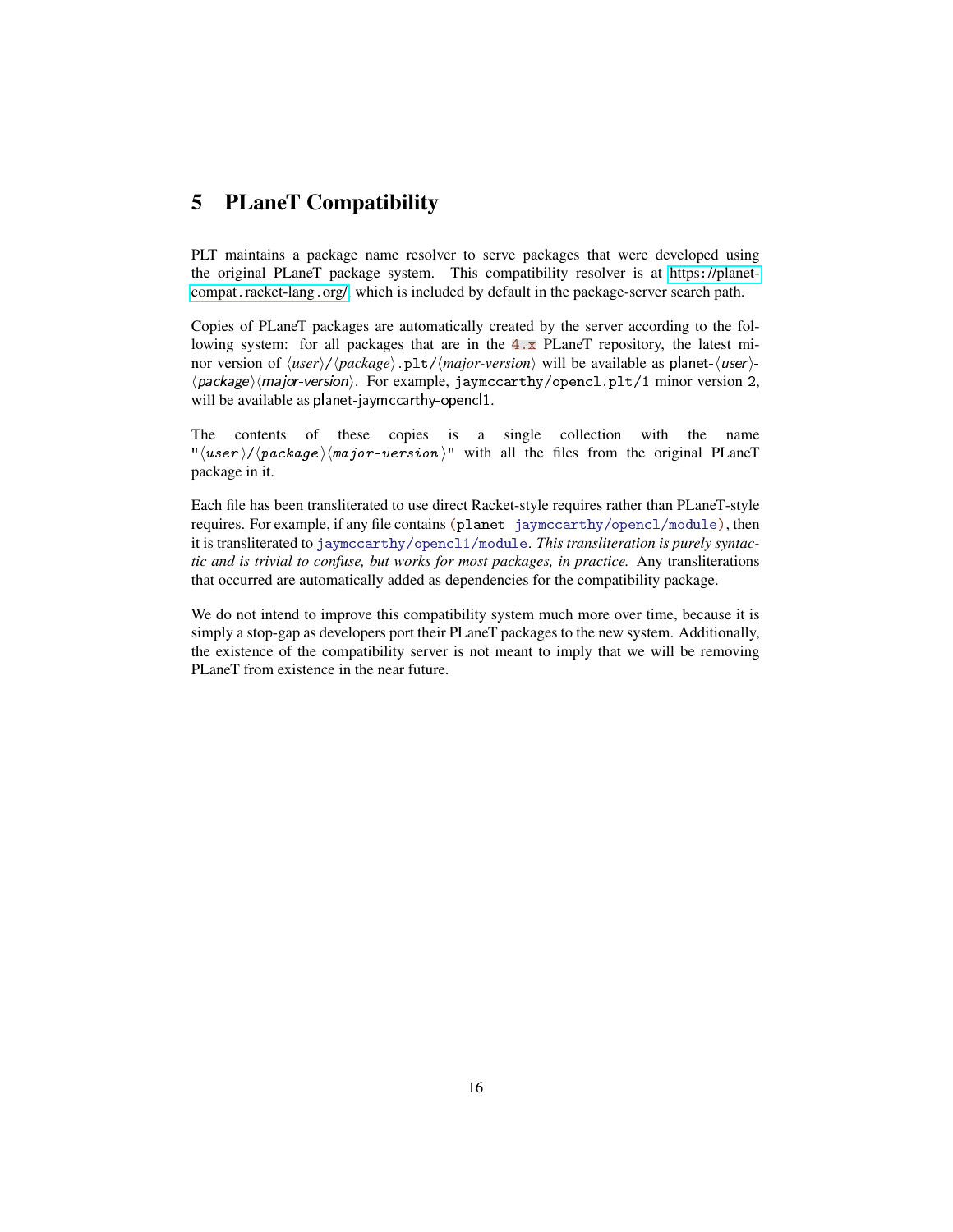### <span id="page-15-0"></span>5 PLaneT Compatibility

PLT maintains a package name resolver to serve packages that were developed using the original PLaneT package system. This compatibility resolver is at https:[//planet](https://planet-compat.racket-lang.org/)compat.[racket-lang](https://planet-compat.racket-lang.org/).org/, which is included by default in the package-server search path.

Copies of PLaneT packages are automatically created by the server according to the following system: for all packages that are in the  $4 \cdot x$  PLaneT repository, the latest minor version of  $\langle user \rangle / \langle package \rangle .pt / \langle major-version \rangle$  will be available as planet- $\langle user \rangle$ - $\langle package \rangle \langle major-version \rangle$ . For example, jaymccarthy/opencl.plt/1 minor version 2, will be available as planet-jaymccarthy-opencl1.

The contents of these copies is a single collection with the name " $\langle user \rangle / \langle package \rangle$  /major-version)" with all the files from the original PLaneT package in it.

Each file has been transliterated to use direct Racket-style requires rather than PLaneT-style requires. For example, if any file contains (planet jaymccarthy/opencl/module), then it is transliterated to jaymccarthy/opencl1/module. *This transliteration is purely syntactic and is trivial to confuse, but works for most packages, in practice.* Any transliterations that occurred are automatically added as dependencies for the compatibility package.

We do not intend to improve this compatibility system much more over time, because it is simply a stop-gap as developers port their PLaneT packages to the new system. Additionally, the existence of the compatibility server is not meant to imply that we will be removing PLaneT from existence in the near future.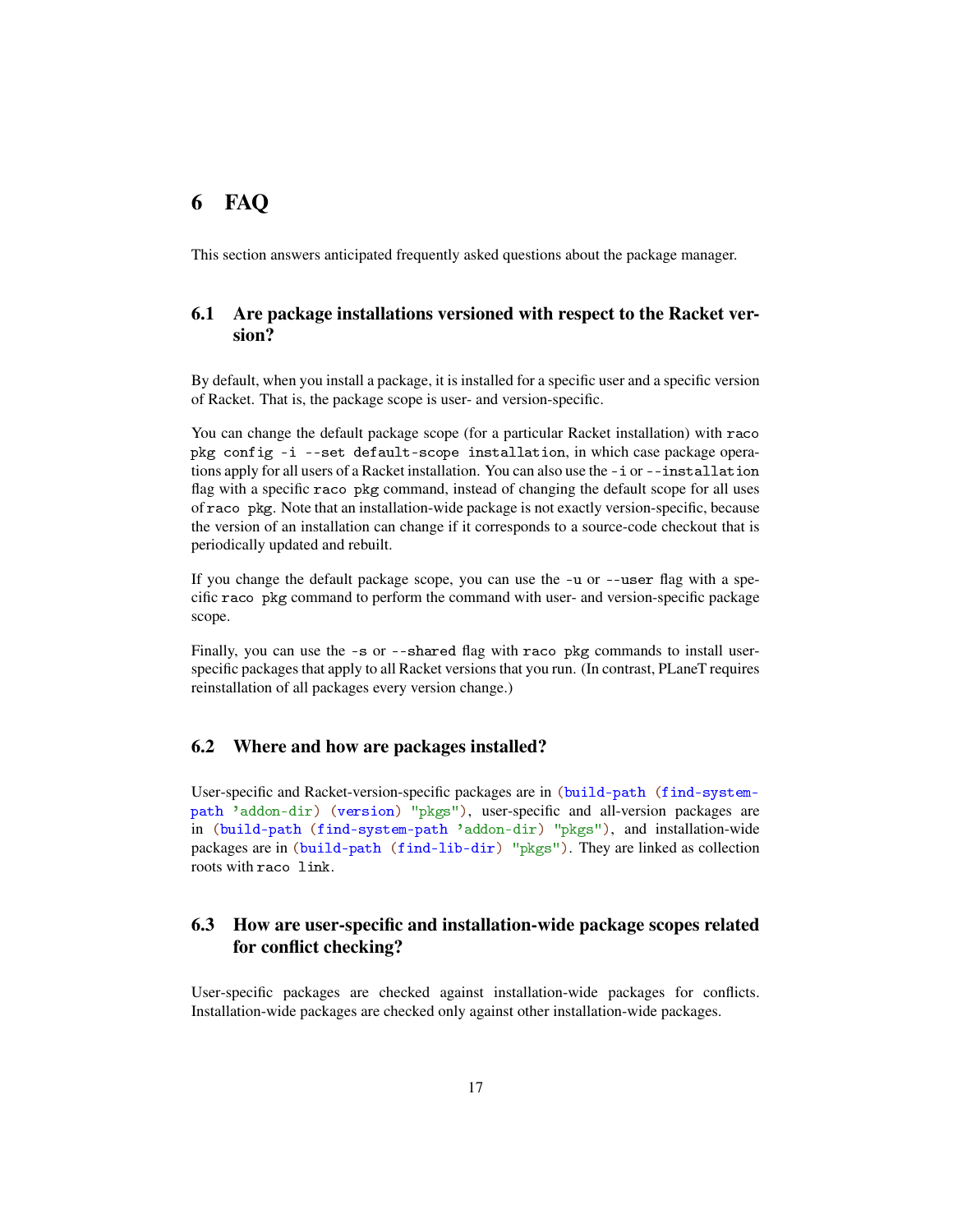### <span id="page-16-0"></span>6 FAQ

This section answers anticipated frequently asked questions about the package manager.

### <span id="page-16-1"></span>6.1 Are package installations versioned with respect to the Racket version?

By default, when you install a package, it is installed for a specific user and a specific version of Racket. That is, the package scope is user- and version-specific.

You can change the default package scope (for a particular Racket installation) with raco pkg config -i --set default-scope installation, in which case package operations apply for all users of a Racket installation. You can also use the -i or --installation flag with a specific raco pkg command, instead of changing the default scope for all uses of raco pkg. Note that an installation-wide package is not exactly version-specific, because the version of an installation can change if it corresponds to a source-code checkout that is periodically updated and rebuilt.

If you change the default package scope, you can use the -u or --user flag with a specific raco pkg command to perform the command with user- and version-specific package scope.

Finally, you can use the -s or --shared flag with raco pkg commands to install userspecific packages that apply to all Racket versions that you run. (In contrast, PLaneT requires reinstallation of all packages every version change.)

#### <span id="page-16-2"></span>6.2 Where and how are packages installed?

User-specific and Racket-version-specific packages are in (build-path (find-systempath 'addon-dir) (version) "pkgs"), user-specific and all-version packages are in (build-path (find-system-path 'addon-dir) "pkgs"), and installation-wide packages are in (build-path (find-lib-dir) "pkgs"). They are linked as collection roots with raco link.

### <span id="page-16-3"></span>6.3 How are user-specific and installation-wide package scopes related for conflict checking?

User-specific packages are checked against installation-wide packages for conflicts. Installation-wide packages are checked only against other installation-wide packages.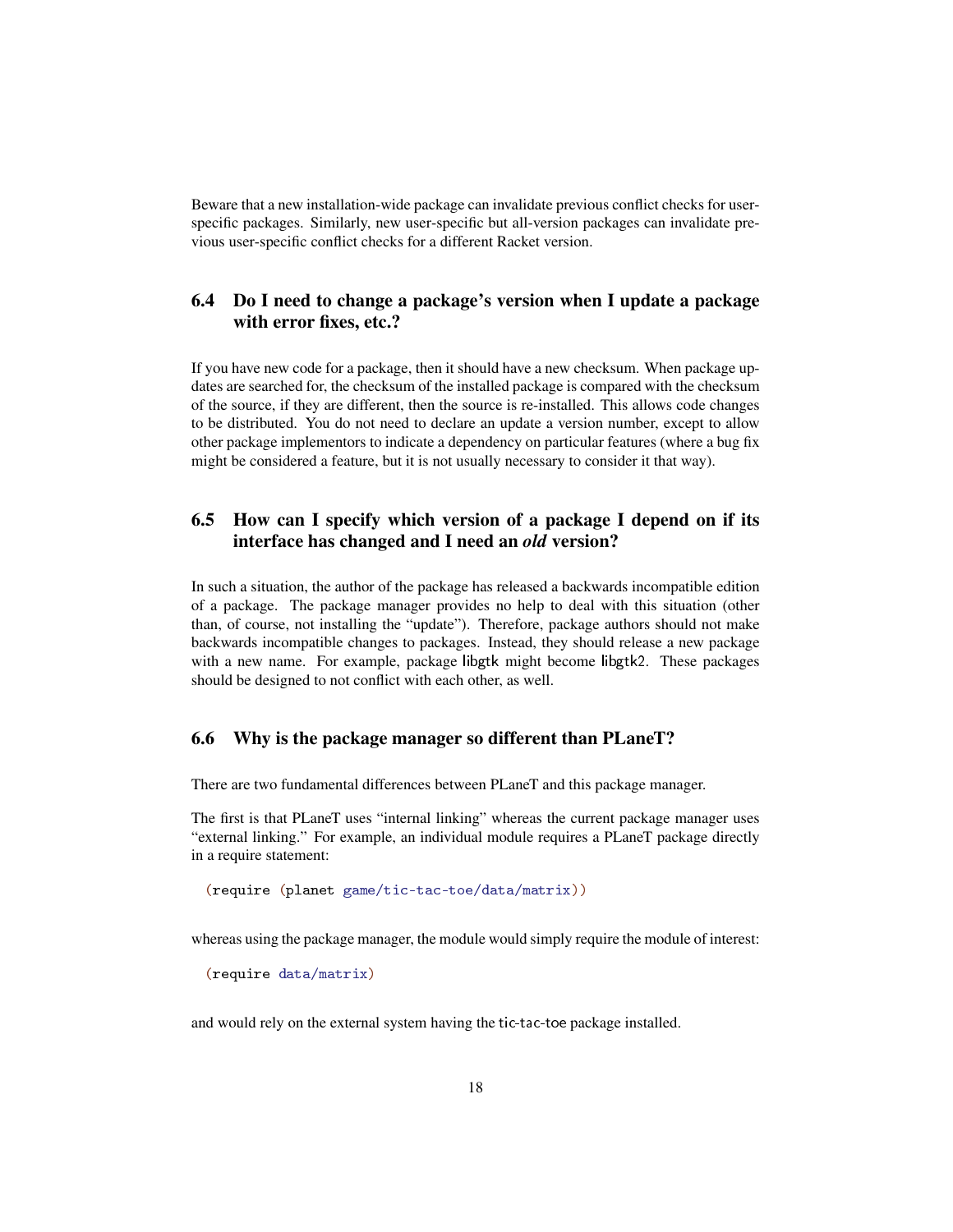Beware that a new installation-wide package can invalidate previous conflict checks for userspecific packages. Similarly, new user-specific but all-version packages can invalidate previous user-specific conflict checks for a different Racket version.

### <span id="page-17-0"></span>6.4 Do I need to change a package's version when I update a package with error fixes, etc.?

If you have new code for a package, then it should have a new checksum. When package updates are searched for, the checksum of the installed package is compared with the checksum of the source, if they are different, then the source is re-installed. This allows code changes to be distributed. You do not need to declare an update a version number, except to allow other package implementors to indicate a dependency on particular features (where a bug fix might be considered a feature, but it is not usually necessary to consider it that way).

### <span id="page-17-1"></span>6.5 How can I specify which version of a package I depend on if its interface has changed and I need an *old* version?

In such a situation, the author of the package has released a backwards incompatible edition of a package. The package manager provides no help to deal with this situation (other than, of course, not installing the "update"). Therefore, package authors should not make backwards incompatible changes to packages. Instead, they should release a new package with a new name. For example, package libgtk might become libgtk2. These packages should be designed to not conflict with each other, as well.

#### <span id="page-17-2"></span>6.6 Why is the package manager so different than PLaneT?

There are two fundamental differences between PLaneT and this package manager.

The first is that PLaneT uses "internal linking" whereas the current package manager uses "external linking." For example, an individual module requires a PLaneT package directly in a require statement:

(require (planet game/tic-tac-toe/data/matrix))

whereas using the package manager, the module would simply require the module of interest:

(require data/matrix)

and would rely on the external system having the tic-tac-toe package installed.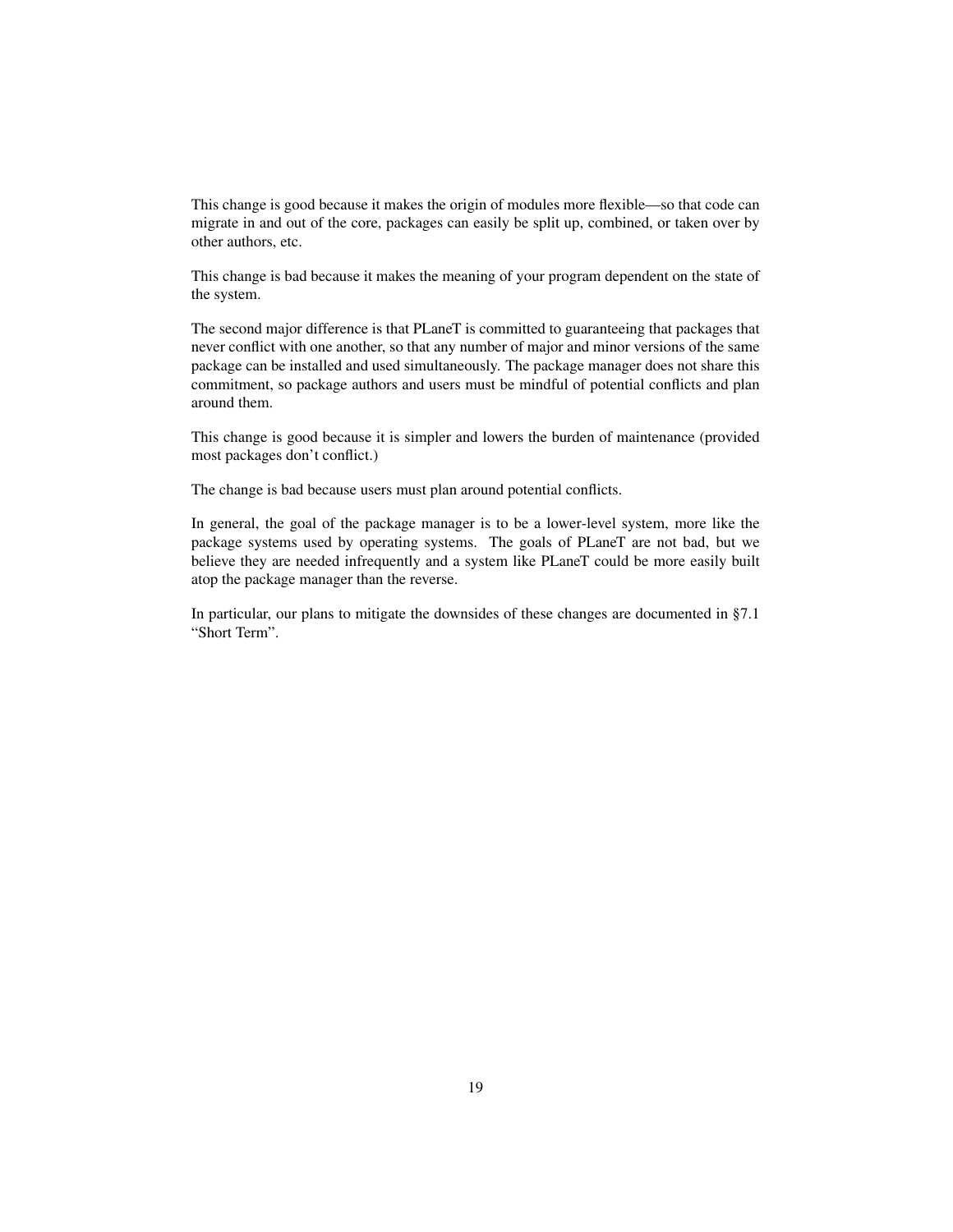This change is good because it makes the origin of modules more flexible—so that code can migrate in and out of the core, packages can easily be split up, combined, or taken over by other authors, etc.

This change is bad because it makes the meaning of your program dependent on the state of the system.

The second major difference is that PLaneT is committed to guaranteeing that packages that never conflict with one another, so that any number of major and minor versions of the same package can be installed and used simultaneously. The package manager does not share this commitment, so package authors and users must be mindful of potential conflicts and plan around them.

This change is good because it is simpler and lowers the burden of maintenance (provided most packages don't conflict.)

The change is bad because users must plan around potential conflicts.

In general, the goal of the package manager is to be a lower-level system, more like the package systems used by operating systems. The goals of PLaneT are not bad, but we believe they are needed infrequently and a system like PLaneT could be more easily built atop the package manager than the reverse.

In particular, our plans to mitigate the downsides of these changes are documented in §7.1 "Short Term".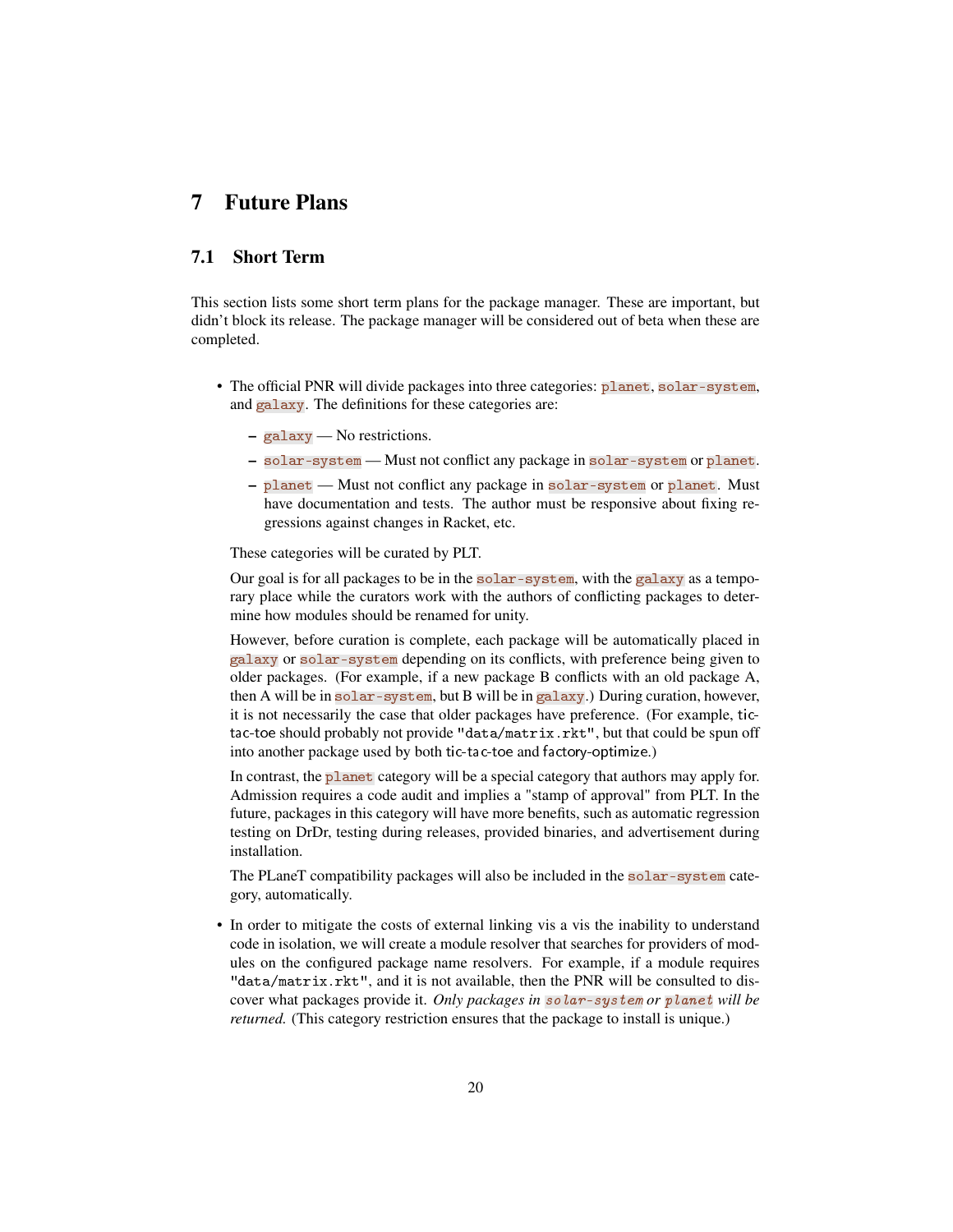### <span id="page-19-0"></span>7 Future Plans

### <span id="page-19-1"></span>7.1 Short Term

This section lists some short term plans for the package manager. These are important, but didn't block its release. The package manager will be considered out of beta when these are completed.

- The official PNR will divide packages into three categories: planet, solar-system, and galaxy. The definitions for these categories are:
	- galaxy No restrictions.
	- solar-system Must not conflict any package in solar-system or planet.
	- planet Must not conflict any package in solar-system or planet. Must have documentation and tests. The author must be responsive about fixing regressions against changes in Racket, etc.

These categories will be curated by PLT.

Our goal is for all packages to be in the solar-system, with the galaxy as a temporary place while the curators work with the authors of conflicting packages to determine how modules should be renamed for unity.

However, before curation is complete, each package will be automatically placed in galaxy or solar-system depending on its conflicts, with preference being given to older packages. (For example, if a new package B conflicts with an old package A, then A will be in solar-system, but B will be in galaxy.) During curation, however, it is not necessarily the case that older packages have preference. (For example, tictac-toe should probably not provide "data/matrix.rkt", but that could be spun off into another package used by both tic-tac-toe and factory-optimize.)

In contrast, the planet category will be a special category that authors may apply for. Admission requires a code audit and implies a "stamp of approval" from PLT. In the future, packages in this category will have more benefits, such as automatic regression testing on DrDr, testing during releases, provided binaries, and advertisement during installation.

The PLaneT compatibility packages will also be included in the solar-system category, automatically.

• In order to mitigate the costs of external linking vis a vis the inability to understand code in isolation, we will create a module resolver that searches for providers of modules on the configured package name resolvers. For example, if a module requires "data/matrix.rkt", and it is not available, then the PNR will be consulted to discover what packages provide it. *Only packages in* solar-system *or* planet *will be returned.* (This category restriction ensures that the package to install is unique.)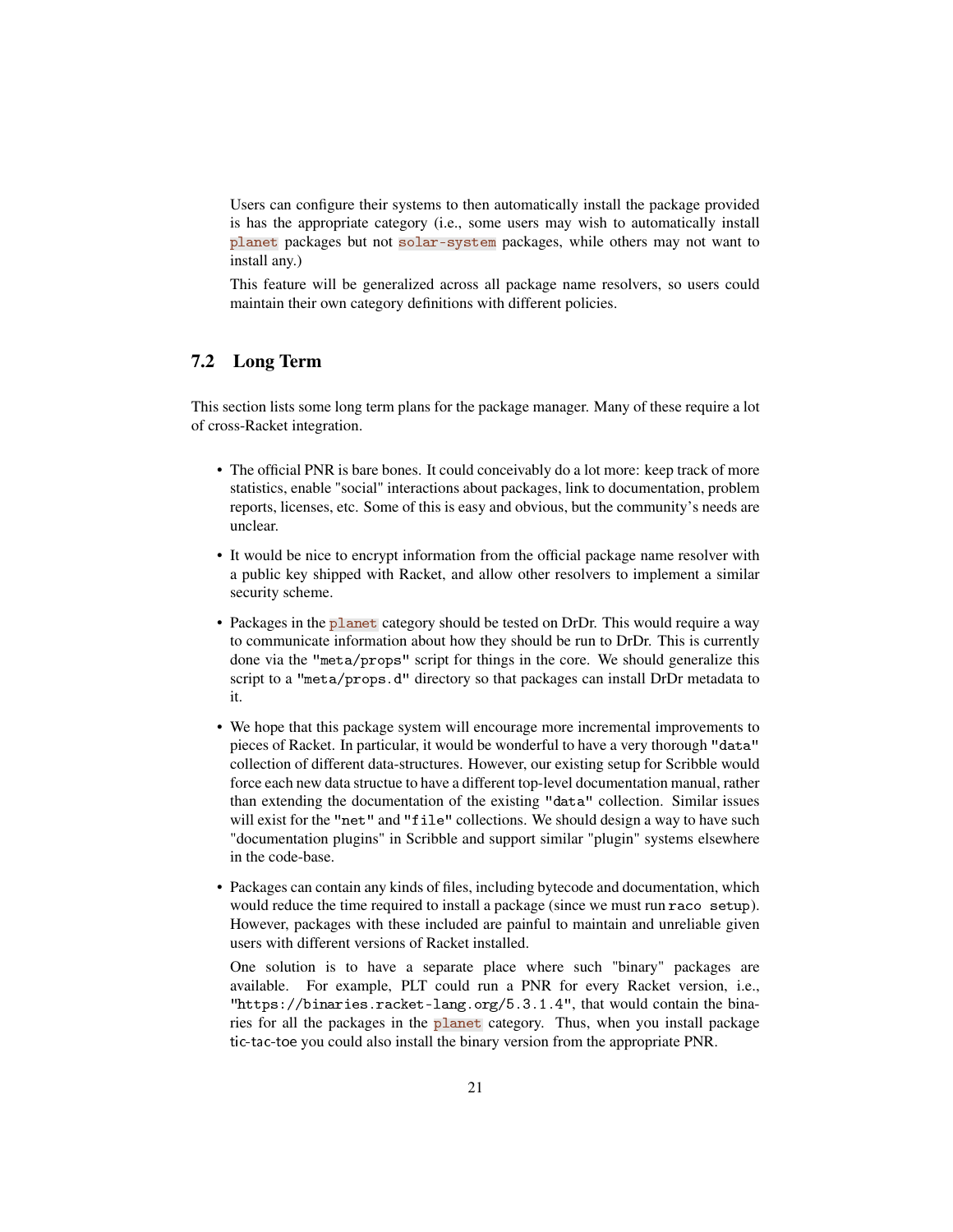Users can configure their systems to then automatically install the package provided is has the appropriate category (i.e., some users may wish to automatically install planet packages but not solar-system packages, while others may not want to install any.)

This feature will be generalized across all package name resolvers, so users could maintain their own category definitions with different policies.

#### <span id="page-20-0"></span>7.2 Long Term

This section lists some long term plans for the package manager. Many of these require a lot of cross-Racket integration.

- The official PNR is bare bones. It could conceivably do a lot more: keep track of more statistics, enable "social" interactions about packages, link to documentation, problem reports, licenses, etc. Some of this is easy and obvious, but the community's needs are unclear.
- It would be nice to encrypt information from the official package name resolver with a public key shipped with Racket, and allow other resolvers to implement a similar security scheme.
- Packages in the planet category should be tested on DrDr. This would require a way to communicate information about how they should be run to DrDr. This is currently done via the "meta/props" script for things in the core. We should generalize this script to a "meta/props.d" directory so that packages can install DrDr metadata to it.
- We hope that this package system will encourage more incremental improvements to pieces of Racket. In particular, it would be wonderful to have a very thorough "data" collection of different data-structures. However, our existing setup for Scribble would force each new data structue to have a different top-level documentation manual, rather than extending the documentation of the existing "data" collection. Similar issues will exist for the "net" and "file" collections. We should design a way to have such "documentation plugins" in Scribble and support similar "plugin" systems elsewhere in the code-base.
- Packages can contain any kinds of files, including bytecode and documentation, which would reduce the time required to install a package (since we must run raco setup). However, packages with these included are painful to maintain and unreliable given users with different versions of Racket installed.

One solution is to have a separate place where such "binary" packages are available. For example, PLT could run a PNR for every Racket version, i.e., "https://binaries.racket-lang.org/5.3.1.4", that would contain the binaries for all the packages in the planet category. Thus, when you install package tic-tac-toe you could also install the binary version from the appropriate PNR.